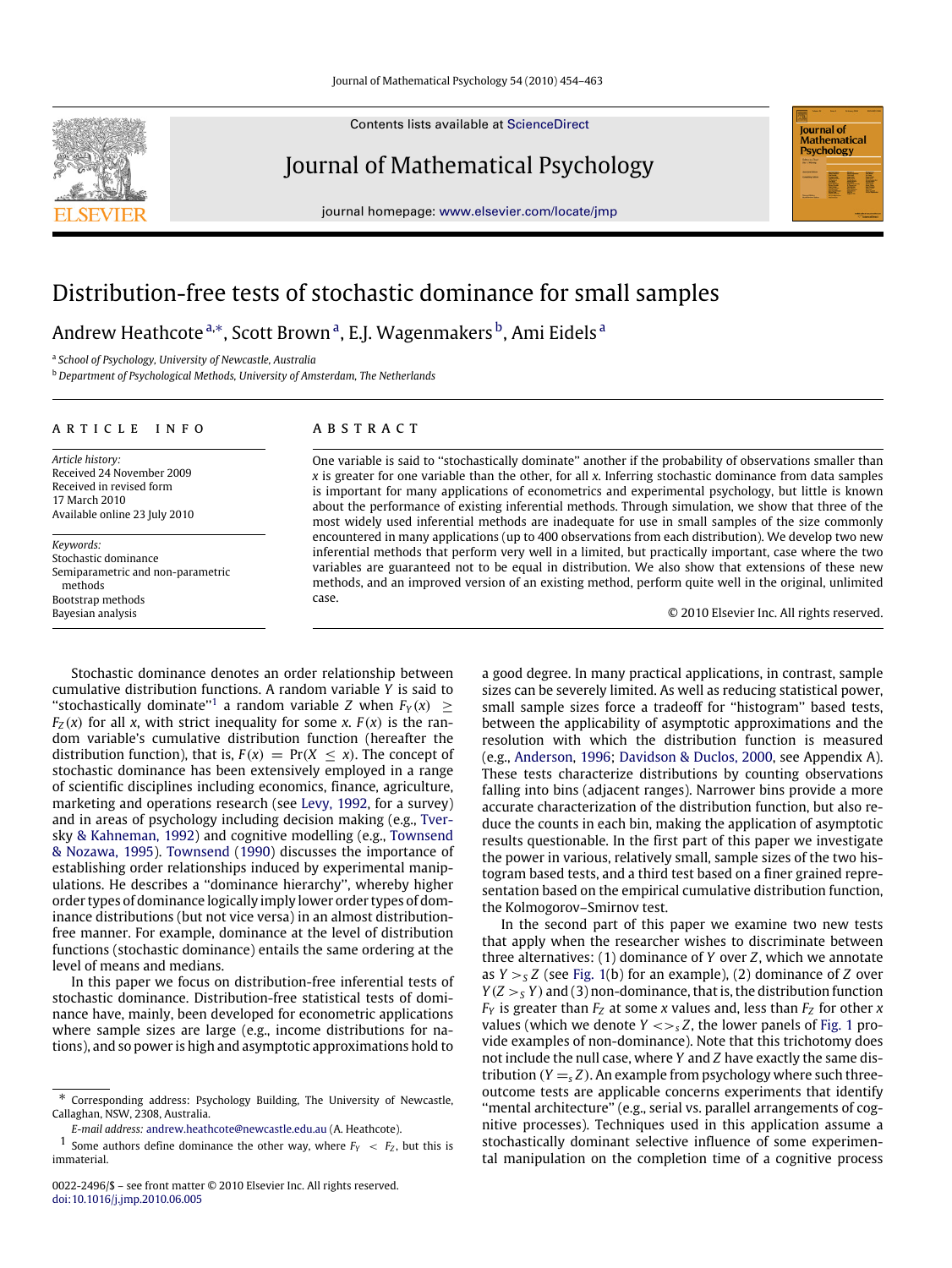Contents lists available at [ScienceDirect](http://www.elsevier.com/locate/jmp)

## Journal of Mathematical Psychology

journal homepage: [www.elsevier.com/locate/jmp](http://www.elsevier.com/locate/jmp)



# Distribution-free tests of stochastic dominance for small samples

Andrew He[a](#page-0-0)thcote ª,\*, Scott Brown ª, E.J. Wagenmakers <sup>[b](#page-0-2)</sup>, Ami Eidels <sup>a</sup>

<span id="page-0-0"></span>a *School of Psychology, University of Newcastle, Australia*

<span id="page-0-2"></span><sup>b</sup> *Department of Psychological Methods, University of Amsterdam, The Netherlands*

#### a r t i c l e i n f o

*Article history:* Received 24 November 2009 Received in revised form 17 March 2010 Available online 23 July 2010

*Keywords:* Stochastic dominance Semiparametric and non-parametric methods Bootstrap methods Bayesian analysis

## A B S T R A C T

One variable is said to ''stochastically dominate'' another if the probability of observations smaller than *x* is greater for one variable than the other, for all *x*. Inferring stochastic dominance from data samples is important for many applications of econometrics and experimental psychology, but little is known about the performance of existing inferential methods. Through simulation, we show that three of the most widely used inferential methods are inadequate for use in small samples of the size commonly encountered in many applications (up to 400 observations from each distribution). We develop two new inferential methods that perform very well in a limited, but practically important, case where the two variables are guaranteed not to be equal in distribution. We also show that extensions of these new methods, and an improved version of an existing method, perform quite well in the original, unlimited case.

© 2010 Elsevier Inc. All rights reserved.

Stochastic dominance denotes an order relationship between cumulative distribution functions. A random variable *Y* is said to "stochastically dominate"<sup>[1](#page-0-3)</sup> a random variable *Z* when  $F_Y(x) \geq$  $F_z(x)$  for all *x*, with strict inequality for some *x*.  $F(x)$  is the random variable's cumulative distribution function (hereafter the distribution function), that is,  $F(x) = Pr(X \le x)$ . The concept of stochastic dominance has been extensively employed in a range of scientific disciplines including economics, finance, agriculture, marketing and operations research (see [Levy,](#page-9-0) [1992,](#page-9-0) for a survey) [a](#page-9-1)nd in areas of psychology including decision making (e.g., [Tver](#page-9-1)[sky](#page-9-1) [&](#page-9-1) [Kahneman,](#page-9-1) [1992\)](#page-9-1) and cognitive modelling (e.g., [Townsend](#page-9-2) [&](#page-9-2) [Nozawa,](#page-9-2) [1995\)](#page-9-2). [Townsend](#page-9-3) [\(1990\)](#page-9-3) discusses the importance of establishing order relationships induced by experimental manipulations. He describes a ''dominance hierarchy'', whereby higher order types of dominance logically imply lower order types of dominance distributions (but not vice versa) in an almost distributionfree manner. For example, dominance at the level of distribution functions (stochastic dominance) entails the same ordering at the level of means and medians.

In this paper we focus on distribution-free inferential tests of stochastic dominance. Distribution-free statistical tests of dominance have, mainly, been developed for econometric applications where sample sizes are large (e.g., income distributions for nations), and so power is high and asymptotic approximations hold to a good degree. In many practical applications, in contrast, sample sizes can be severely limited. As well as reducing statistical power, small sample sizes force a tradeoff for ''histogram'' based tests, between the applicability of asymptotic approximations and the resolution with which the distribution function is measured (e.g., [Anderson,](#page-9-4) [1996;](#page-9-4) [Davidson](#page-9-5) [&](#page-9-5) [Duclos,](#page-9-5) [2000,](#page-9-5) see Appendix A). These tests characterize distributions by counting observations falling into bins (adjacent ranges). Narrower bins provide a more accurate characterization of the distribution function, but also reduce the counts in each bin, making the application of asymptotic results questionable. In the first part of this paper we investigate the power in various, relatively small, sample sizes of the two histogram based tests, and a third test based on a finer grained representation based on the empirical cumulative distribution function, the Kolmogorov–Smirnov test.

In the second part of this paper we examine two new tests that apply when the researcher wishes to discriminate between three alternatives: (1) dominance of *Y* over *Z*, which we annotate as *Y* >*<sup>S</sup> Z* (see [Fig. 1\(](#page-1-0)b) for an example), (2) dominance of *Z* over  $Y(Z > S Y)$  and (3) non-dominance, that is, the distribution function  $F_Y$  is greater than  $F_Z$  at some *x* values and, less than  $F_Z$  for other *x* values (which we denote  $Y \ll_{S} Z$ , the lower panels of [Fig. 1](#page-1-0) provide examples of non-dominance). Note that this trichotomy does not include the null case, where *Y* and *Z* have exactly the same distribution  $(Y =_{s} Z)$ . An example from psychology where such threeoutcome tests are applicable concerns experiments that identify "mental architecture" (e.g., serial vs. parallel arrangements of cognitive processes). Techniques used in this application assume a stochastically dominant selective influence of some experimental manipulation on the completion time of a cognitive process

<span id="page-0-1"></span><sup>∗</sup> Corresponding address: Psychology Building, The University of Newcastle, Callaghan, NSW, 2308, Australia.

<span id="page-0-3"></span>*E-mail address:* [andrew.heathcote@newcastle.edu.au](mailto:andrew.heathcote@newcastle.edu.au) (A. Heathcote).

<sup>&</sup>lt;sup>1</sup> Some authors define dominance the other way, where  $F_Y < F_Z$ , but this is immaterial.

<sup>0022-2496/\$ –</sup> see front matter © 2010 Elsevier Inc. All rights reserved. [doi:10.1016/j.jmp.2010.06.005](http://dx.doi.org/10.1016/j.jmp.2010.06.005)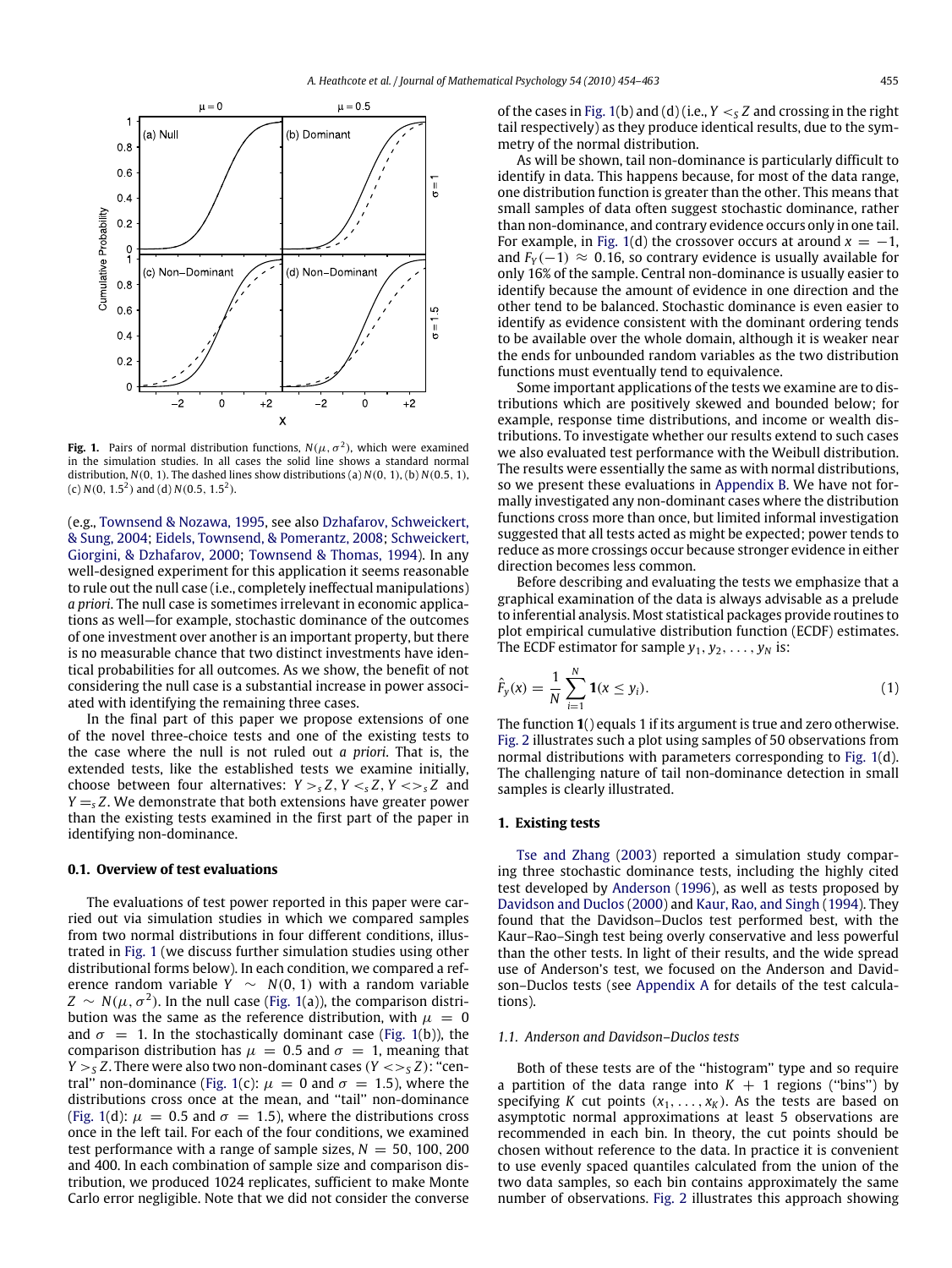<span id="page-1-0"></span>

**Fig. 1.** Pairs of normal distribution functions,  $N(\mu, \sigma^2)$ , which were examined in the simulation studies. In all cases the solid line shows a standard normal distribution, *N*(0, 1). The dashed lines show distributions (a) *N*(0, 1), (b) *N*(0.5, 1), (c)  $N(0, 1.5^2)$  and (d)  $N(0.5, 1.5^2)$ .

(e.g., [Townsend](#page-9-2) [&](#page-9-2) [Nozawa,](#page-9-2) [1995,](#page-9-2) see also [Dzhafarov,](#page-9-6) [Schweickert,](#page-9-6) [&](#page-9-6) [Sung,](#page-9-6) [2004;](#page-9-6) [Eidels,](#page-9-7) [Townsend,](#page-9-7) [&](#page-9-7) [Pomerantz,](#page-9-7) [2008;](#page-9-7) [Schweickert,](#page-9-8) [Giorgini,](#page-9-8) [&](#page-9-8) [Dzhafarov,](#page-9-8) [2000;](#page-9-8) [Townsend](#page-9-9) [&](#page-9-9) [Thomas,](#page-9-9) [1994\)](#page-9-9). In any well-designed experiment for this application it seems reasonable to rule out the null case (i.e., completely ineffectual manipulations) *a priori*. The null case is sometimes irrelevant in economic applications as well—for example, stochastic dominance of the outcomes of one investment over another is an important property, but there is no measurable chance that two distinct investments have identical probabilities for all outcomes. As we show, the benefit of not considering the null case is a substantial increase in power associated with identifying the remaining three cases.

In the final part of this paper we propose extensions of one of the novel three-choice tests and one of the existing tests to the case where the null is not ruled out *a priori*. That is, the extended tests, like the established tests we examine initially, choose between four alternatives:  $Y > Z, Y < Z, Y < Z, Z$  and  $Y = S Z$ . We demonstrate that both extensions have greater power than the existing tests examined in the first part of the paper in identifying non-dominance.

### **0.1. Overview of test evaluations**

The evaluations of test power reported in this paper were carried out via simulation studies in which we compared samples from two normal distributions in four different conditions, illustrated in [Fig. 1](#page-1-0) (we discuss further simulation studies using other distributional forms below). In each condition, we compared a reference random variable  $Y \sim N(0, 1)$  with a random variable  $Z \, \sim \, N(\mu, \sigma^2)$ . In the null case [\(Fig. 1\(](#page-1-0)a)), the comparison distribution was the same as the reference distribution, with  $\mu = 0$ and  $\sigma = 1$ . In the stochastically dominant case [\(Fig. 1\(](#page-1-0)b)), the comparison distribution has  $\mu = 0.5$  and  $\sigma = 1$ , meaning that *Y*  $>$  *s Z*. There were also two non-dominant cases (*Y*  $\lt$  $>$  *s Z*): "cen-tral" non-dominance [\(Fig. 1\(](#page-1-0)c):  $\mu = 0$  and  $\sigma = 1.5$ ), where the distributions cross once at the mean, and ''tail'' non-dominance [\(Fig. 1\(](#page-1-0)d):  $\mu = 0.5$  and  $\sigma = 1.5$ ), where the distributions cross once in the left tail. For each of the four conditions, we examined test performance with a range of sample sizes,  $N = 50$ , 100, 200 and 400. In each combination of sample size and comparison distribution, we produced 1024 replicates, sufficient to make Monte Carlo error negligible. Note that we did not consider the converse of the cases in [Fig. 1\(](#page-1-0)b) and (d) (i.e.,  $Y <_{S} Z$  and crossing in the right tail respectively) as they produce identical results, due to the symmetry of the normal distribution.

As will be shown, tail non-dominance is particularly difficult to identify in data. This happens because, for most of the data range, one distribution function is greater than the other. This means that small samples of data often suggest stochastic dominance, rather than non-dominance, and contrary evidence occurs only in one tail. For example, in [Fig. 1\(](#page-1-0)d) the crossover occurs at around  $x = -1$ , and  $F_Y(-1) \approx 0.16$ , so contrary evidence is usually available for only 16% of the sample. Central non-dominance is usually easier to identify because the amount of evidence in one direction and the other tend to be balanced. Stochastic dominance is even easier to identify as evidence consistent with the dominant ordering tends to be available over the whole domain, although it is weaker near the ends for unbounded random variables as the two distribution functions must eventually tend to equivalence.

Some important applications of the tests we examine are to distributions which are positively skewed and bounded below; for example, response time distributions, and income or wealth distributions. To investigate whether our results extend to such cases we also evaluated test performance with the Weibull distribution. The results were essentially the same as with normal distributions, so we present these evaluations in [Appendix B.](#page-6-0) We have not formally investigated any non-dominant cases where the distribution functions cross more than once, but limited informal investigation suggested that all tests acted as might be expected; power tends to reduce as more crossings occur because stronger evidence in either direction becomes less common.

Before describing and evaluating the tests we emphasize that a graphical examination of the data is always advisable as a prelude to inferential analysis. Most statistical packages provide routines to plot empirical cumulative distribution function (ECDF) estimates. The ECDF estimator for sample  $y_1, y_2, \ldots, y_N$  is:

$$
\hat{F}_y(x) = \frac{1}{N} \sum_{i=1}^{N} \mathbf{1}(x \le y_i).
$$
 (1)

The function **1**() equals 1 if its argument is true and zero otherwise. [Fig. 2](#page-2-0) illustrates such a plot using samples of 50 observations from normal distributions with parameters corresponding to [Fig. 1\(](#page-1-0)d). The challenging nature of tail non-dominance detection in small samples is clearly illustrated.

## **1. Existing tests**

[Tse](#page-9-10) [and](#page-9-10) [Zhang](#page-9-10) [\(2003\)](#page-9-10) reported a simulation study comparing three stochastic dominance tests, including the highly cited test developed by [Anderson](#page-9-4) [\(1996\)](#page-9-4), as well as tests proposed by [Davidson](#page-9-5) [and](#page-9-5) [Duclos](#page-9-5) [\(2000\)](#page-9-5) and [Kaur,](#page-9-11) [Rao,](#page-9-11) [and](#page-9-11) [Singh](#page-9-11) [\(1994\)](#page-9-11). They found that the Davidson–Duclos test performed best, with the Kaur–Rao–Singh test being overly conservative and less powerful than the other tests. In light of their results, and the wide spread use of Anderson's test, we focused on the Anderson and Davidson–Duclos tests (see [Appendix A](#page-6-1) for details of the test calculations).

#### *1.1. Anderson and Davidson–Duclos tests*

Both of these tests are of the ''histogram'' type and so require a partition of the data range into  $K + 1$  regions ("bins") by specifying *K* cut points  $(x_1, \ldots, x_k)$ . As the tests are based on asymptotic normal approximations at least 5 observations are recommended in each bin. In theory, the cut points should be chosen without reference to the data. In practice it is convenient to use evenly spaced quantiles calculated from the union of the two data samples, so each bin contains approximately the same number of observations. [Fig. 2](#page-2-0) illustrates this approach showing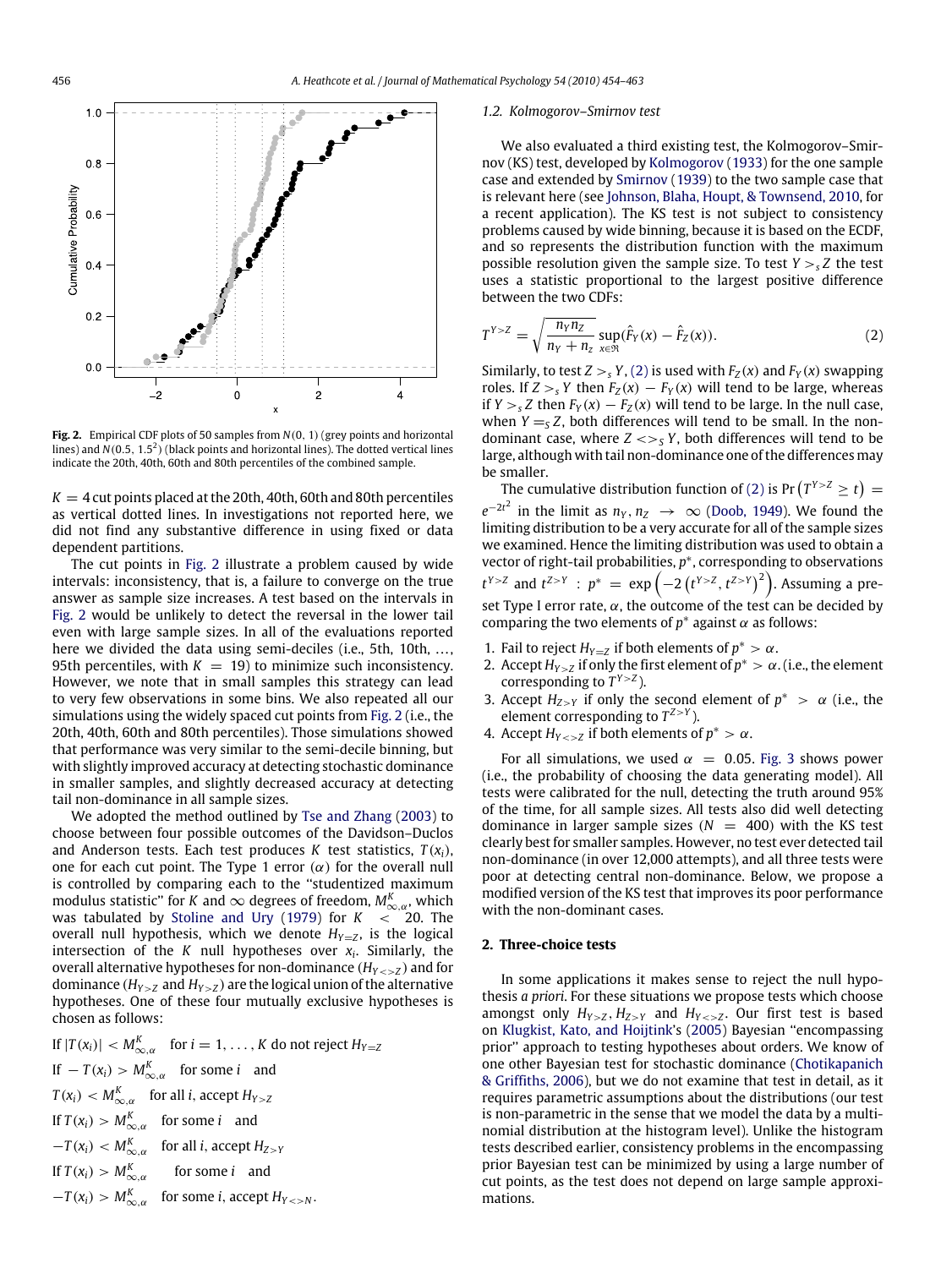<span id="page-2-0"></span>

**Fig. 2.** Empirical CDF plots of 50 samples from *N*(0, 1) (grey points and horizontal lines) and  $N(0.5, 1.5^2)$  (black points and horizontal lines). The dotted vertical lines indicate the 20th, 40th, 60th and 80th percentiles of the combined sample.

 $K = 4$  cut points placed at the 20th, 40th, 60th and 80th percentiles as vertical dotted lines. In investigations not reported here, we did not find any substantive difference in using fixed or data dependent partitions.

The cut points in [Fig. 2](#page-2-0) illustrate a problem caused by wide intervals: inconsistency, that is, a failure to converge on the true answer as sample size increases. A test based on the intervals in [Fig. 2](#page-2-0) would be unlikely to detect the reversal in the lower tail even with large sample sizes. In all of the evaluations reported here we divided the data using semi-deciles (i.e., 5th, 10th, ..., 95th percentiles, with  $K = 19$ ) to minimize such inconsistency. However, we note that in small samples this strategy can lead to very few observations in some bins. We also repeated all our simulations using the widely spaced cut points from [Fig. 2](#page-2-0) (i.e., the 20th, 40th, 60th and 80th percentiles). Those simulations showed that performance was very similar to the semi-decile binning, but with slightly improved accuracy at detecting stochastic dominance in smaller samples, and slightly decreased accuracy at detecting tail non-dominance in all sample sizes.

We adopted the method outlined by [Tse](#page-9-10) [and](#page-9-10) [Zhang](#page-9-10) [\(2003\)](#page-9-10) to choose between four possible outcomes of the Davidson–Duclos and Anderson tests. Each test produces *K* test statistics,  $T(x_i)$ , one for each cut point. The Type 1 error  $(\alpha)$  for the overall null is controlled by comparing each to the ''studentized maximum modulus statistic'' for *K* and  $\infty$  degrees of freedom,  $M_{\infty,\alpha}^K$ , which was tabulated by [Stoline](#page-9-12) [and](#page-9-12) [Ury](#page-9-12) [\(1979\)](#page-9-12) for  $K < 20$ . The overall null hypothesis, which we denote  $H_{Y=Z}$ , is the logical intersection of the *K* null hypotheses over *x<sup>i</sup>* . Similarly, the overall alternative hypotheses for non-dominance  $(H_{Y\leq z})$  and for dominance  $(H_{Y>Z}$  and  $H_{Y>Z}$ ) are the logical union of the alternative hypotheses. One of these four mutually exclusive hypotheses is chosen as follows:

If 
$$
|T(x_i)| < M_{\infty,\alpha}^K
$$
 for  $i = 1, ..., K$  do not reject  $H_{Y=Z}$   
\nIf  $-T(x_i) > M_{\infty,\alpha}^K$  for some  $i$  and  
\n $T(x_i) < M_{\infty,\alpha}^K$  for all  $i$ , accept  $H_{Y>Z}$   
\nIf  $T(x_i) > M_{\infty,\alpha}^K$  for some  $i$  and  
\n $-T(x_i) < M_{\infty,\alpha}^K$  for all  $i$ , accept  $H_{Z>Y}$   
\nIf  $T(x_i) > M_{\infty,\alpha}^K$  for some  $i$  and  
\n $-T(x_i) > M_{\infty,\alpha}^K$  for some  $i$ , accept  $H_{Y>>N}$ .

#### *1.2. Kolmogorov–Smirnov test*

We also evaluated a third existing test, the Kolmogorov–Smirnov (KS) test, developed by [Kolmogorov](#page-9-13) [\(1933\)](#page-9-13) for the one sample case and extended by [Smirnov](#page-9-14) [\(1939\)](#page-9-14) to the two sample case that is relevant here (see [Johnson,](#page-9-15) [Blaha,](#page-9-15) [Houpt,](#page-9-15) [&](#page-9-15) [Townsend,](#page-9-15) [2010,](#page-9-15) for a recent application). The KS test is not subject to consistency problems caused by wide binning, because it is based on the ECDF, and so represents the distribution function with the maximum possible resolution given the sample size. To test  $Y >_{s} Z$  the test uses a statistic proportional to the largest positive difference between the two CDFs:

<span id="page-2-1"></span>
$$
T^{Y > Z} = \sqrt{\frac{n_Y n_Z}{n_Y + n_Z}} \sup_{x \in \mathfrak{R}} (\hat{F}_Y(x) - \hat{F}_Z(x)).
$$
 (2)

Similarly, to test  $Z > S$ ,  $Y$ , [\(2\)](#page-2-1) is used with  $F_Z(x)$  and  $F_Y(x)$  swapping roles. If  $Z >_{s} Y$  then  $F_Z(x) - F_Y(x)$  will tend to be large, whereas if *Y* ><sub>*s*</sub> *Z* then  $F_Y(x) - F_Z(x)$  will tend to be large. In the null case, when  $Y = S Z$ , both differences will tend to be small. In the nondominant case, where  $Z \ll_S Y$ , both differences will tend to be large, although with tail non-dominance one of the differences may be smaller.

The cumulative distribution function of [\(2\)](#page-2-1) is  $Pr(T^{Y>Z} \ge t)$  =  $e^{-2t^2}$  in the limit as  $n_Y, n_Z \rightarrow \infty$  [\(Doob,](#page-9-16) [1949\)](#page-9-16). We found the limiting distribution to be a very accurate for all of the sample sizes we examined. Hence the limiting distribution was used to obtain a vector of right-tail probabilities,  $p^*$ , corresponding to observations *t*<sup>Y>*Z*</sup> and *t*<sup>Z>*Y*</sup> : *p*<sup>\*</sup> = exp  $\left(-2\left(t^{Y>Z}, t^{Z>Y}\right)^{2}\right)$ . Assuming a preset Type I error rate,  $\alpha$ , the outcome of the test can be decided by comparing the two elements of  $p^*$  against  $\alpha$  as follows:

- 1. Fail to reject  $H_{Y=Z}$  if both elements of  $p^* > \alpha$ .
- 2. Accept  $H_{Y>Z}$  if only the first element of  $p^* > \alpha$ . (i.e., the element corresponding to  $T^{Y>Z}$ ).
- 3. Accept  $H_{Z>Y}$  if only the second element of  $p^* > \alpha$  (i.e., the element corresponding to  $T^{Z>Y}$ ).
- 4. Accept  $H_{Y\leq z}$  if both elements of  $p^* > \alpha$ .

For all simulations, we used  $\alpha = 0.05$ . [Fig. 3](#page-3-0) shows power (i.e., the probability of choosing the data generating model). All tests were calibrated for the null, detecting the truth around 95% of the time, for all sample sizes. All tests also did well detecting dominance in larger sample sizes  $(N = 400)$  with the KS test clearly best for smaller samples. However, no test ever detected tail non-dominance (in over 12,000 attempts), and all three tests were poor at detecting central non-dominance. Below, we propose a modified version of the KS test that improves its poor performance with the non-dominant cases.

#### **2. Three-choice tests**

In some applications it makes sense to reject the null hypothesis *a priori*. For these situations we propose tests which choose amongst only  $H_{Y>Z}$ ,  $H_{Z>Y}$  and  $H_{Y. Our first test is based$ on [Klugkist,](#page-9-17) [Kato,](#page-9-17) [and](#page-9-17) [Hoijtink'](#page-9-17)s [\(2005\)](#page-9-17) Bayesian ''encompassing prior'' approach to testing hypotheses about orders. We know of one other Bayesian test for stochastic dominance [\(Chotikapanich](#page-9-18) [&](#page-9-18) [Griffiths,](#page-9-18) [2006\)](#page-9-18), but we do not examine that test in detail, as it requires parametric assumptions about the distributions (our test is non-parametric in the sense that we model the data by a multinomial distribution at the histogram level). Unlike the histogram tests described earlier, consistency problems in the encompassing prior Bayesian test can be minimized by using a large number of cut points, as the test does not depend on large sample approximations.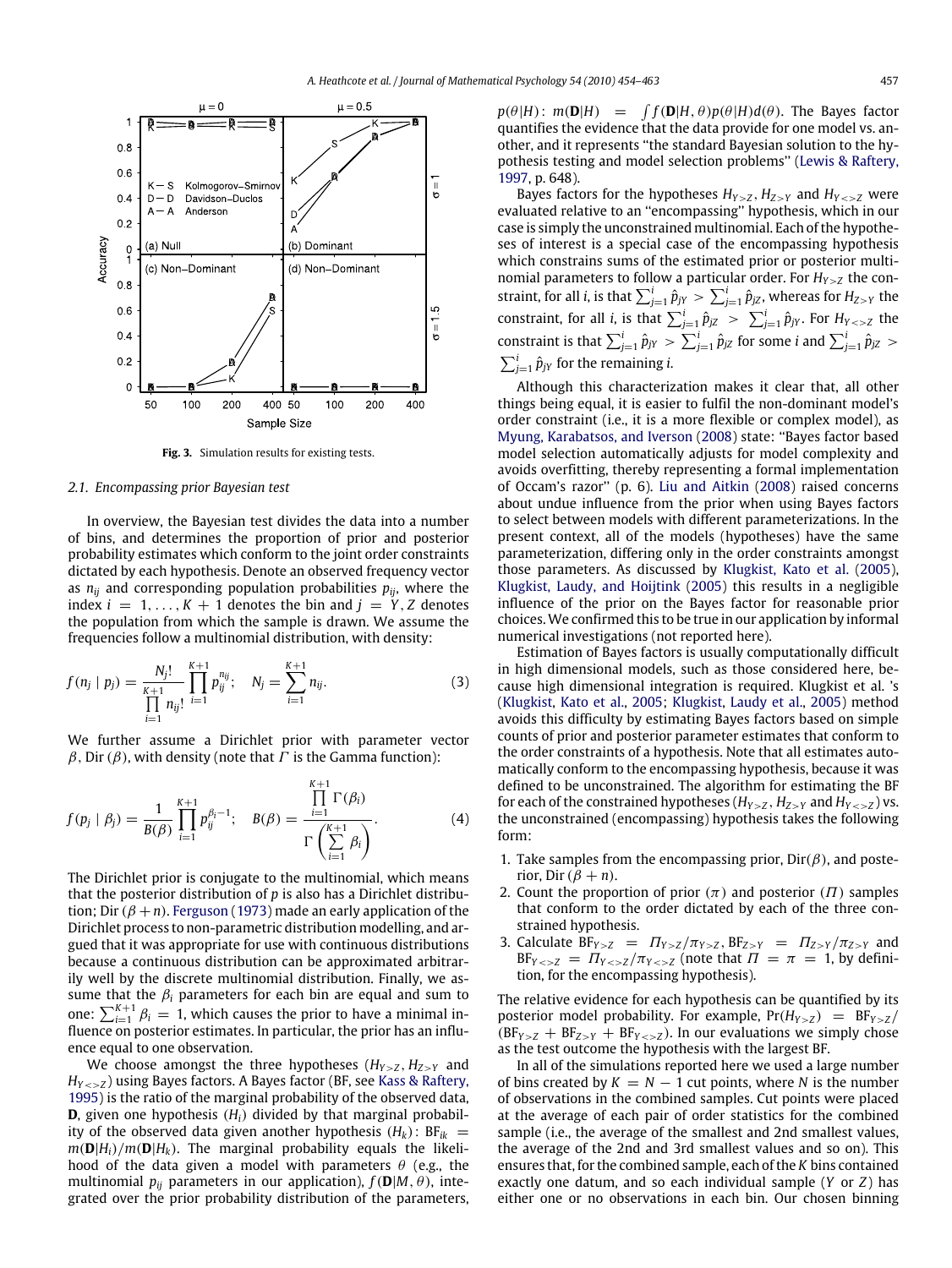<span id="page-3-0"></span>

**Fig. 3.** Simulation results for existing tests.

#### *2.1. Encompassing prior Bayesian test*

In overview, the Bayesian test divides the data into a number of bins, and determines the proportion of prior and posterior probability estimates which conform to the joint order constraints dictated by each hypothesis. Denote an observed frequency vector as  $n_{ii}$  and corresponding population probabilities  $p_{ii}$ , where the index  $i = 1, \ldots, K + 1$  denotes the bin and  $j = Y, Z$  denotes the population from which the sample is drawn. We assume the frequencies follow a multinomial distribution, with density:

$$
f(n_j | p_j) = \frac{N_j!}{\prod_{i=1}^{K+1} n_{ij}!} \prod_{i=1}^{K+1} p_{ij}^{n_{ij}}; \quad N_j = \sum_{i=1}^{K+1} n_{ij}.
$$
 (3)

We further assume a Dirichlet prior with parameter vector  $\beta$ , Dir ( $\beta$ ), with density (note that  $\Gamma$  is the Gamma function):

$$
f(p_j | \beta_j) = \frac{1}{B(\beta)} \prod_{i=1}^{K+1} p_{ij}^{\beta_i - 1}; \quad B(\beta) = \frac{\prod_{i=1}^{K+1} \Gamma(\beta_i)}{\Gamma(\sum_{i=1}^{K+1} \beta_i)}.
$$
 (4)

The Dirichlet prior is conjugate to the multinomial, which means that the posterior distribution of *p* is also has a Dirichlet distribution; Dir  $(\beta + n)$ . [Ferguson](#page-9-19) [\(1973\)](#page-9-19) made an early application of the Dirichlet process to non-parametric distribution modelling, and argued that it was appropriate for use with continuous distributions because a continuous distribution can be approximated arbitrarily well by the discrete multinomial distribution. Finally, we assume that the  $\beta_i$  parameters for each bin are equal and sum to one:  $\sum_{i=1}^{K+1} \beta_i = 1$ , which causes the prior to have a minimal influence on posterior estimates. In particular, the prior has an influence equal to one observation.

We choose amongst the three hypotheses  $(H_{Y>Z}, H_{Z>Y})$  and *HY*<>*<sup>Z</sup>* ) using Bayes factors. A Bayes factor (BF, see [Kass](#page-9-20) [&](#page-9-20) [Raftery,](#page-9-20) [1995\)](#page-9-20) is the ratio of the marginal probability of the observed data, **D**, given one hypothesis  $(H_i)$  divided by that marginal probability of the observed data given another hypothesis  $(H_k)$ : BF<sub>ik</sub> =  $m(\mathbf{D}|H_i)/m(\mathbf{D}|H_k)$ . The marginal probability equals the likelihood of the data given a model with parameters  $\theta$  (e.g., the multinomial  $p_{ii}$  parameters in our application),  $f(\mathbf{D}|M,\theta)$ , integrated over the prior probability distribution of the parameters,

 $p(\theta|H): m(\mathbf{D}|H) = \int f(\mathbf{D}|H,\theta)p(\theta|H)d(\theta)$ . The Bayes factor quantifies the evidence that the data provide for one model vs. another, and it represents ''the standard Bayesian solution to the hypothesis testing and model selection problems'' [\(Lewis](#page-9-21) [&](#page-9-21) [Raftery,](#page-9-21) [1997,](#page-9-21) p. 648).

Bayes factors for the hypotheses  $H_{Y \ge Z}$ ,  $H_{Z \ge Y}$  and  $H_{Y \le Z}$  were evaluated relative to an ''encompassing'' hypothesis, which in our case is simply the unconstrained multinomial. Each of the hypotheses of interest is a special case of the encompassing hypothesis which constrains sums of the estimated prior or posterior multinomial parameters to follow a particular order. For  $H_{Y>Z}$  the constraint, for all *i*, is that  $\sum_{j=1}^{i} \hat{p}_{jY} > \sum_{j=1}^{i} \hat{p}_{jZ}$ , whereas for  $H_{Z>Y}$  the constraint, for all *i*, is that  $\sum_{j=1}^{i} \hat{p}_{jZ} > \sum_{j=1}^{i} \hat{p}_{jY}$ . For  $H_{Y\leq z}$  the constraint is that  $\sum_{j=1}^{i} \hat{p}_{jY} > \sum_{j=1}^{i} \hat{p}_{jZ}$  for some *i* and  $\sum_{j=1}^{i} \hat{p}_{jZ} >$  $\sum_{j=1}^{i} \hat{p}_{jY}$  for the remaining *i*.

Although this characterization makes it clear that, all other things being equal, it is easier to fulfil the non-dominant model's order constraint (i.e., it is a more flexible or complex model), as [Myung,](#page-9-22) [Karabatsos,](#page-9-22) [and](#page-9-22) [Iverson](#page-9-22) [\(2008\)](#page-9-22) state: ''Bayes factor based model selection automatically adjusts for model complexity and avoids overfitting, thereby representing a formal implementation of Occam's razor'' (p. 6). [Liu](#page-9-23) [and](#page-9-23) [Aitkin](#page-9-23) [\(2008\)](#page-9-23) raised concerns about undue influence from the prior when using Bayes factors to select between models with different parameterizations. In the present context, all of the models (hypotheses) have the same parameterization, differing only in the order constraints amongst those parameters. As discussed by [Klugkist,](#page-9-17) [Kato](#page-9-17) [et al.](#page-9-17) [\(2005\)](#page-9-17), [Klugkist,](#page-9-24) [Laudy,](#page-9-24) [and](#page-9-24) [Hoijtink](#page-9-24) [\(2005\)](#page-9-24) this results in a negligible influence of the prior on the Bayes factor for reasonable prior choices. We confirmed this to be true in our application by informal numerical investigations (not reported here).

Estimation of Bayes factors is usually computationally difficult in high dimensional models, such as those considered here, because high dimensional integration is required. Klugkist et al. 's [\(Klugkist,](#page-9-17) [Kato](#page-9-17) [et al.,](#page-9-17) [2005;](#page-9-17) [Klugkist,](#page-9-24) [Laudy](#page-9-24) [et al.,](#page-9-24) [2005\)](#page-9-24) method avoids this difficulty by estimating Bayes factors based on simple counts of prior and posterior parameter estimates that conform to the order constraints of a hypothesis. Note that all estimates automatically conform to the encompassing hypothesis, because it was defined to be unconstrained. The algorithm for estimating the BF for each of the constrained hypotheses ( $H_{Y \ge Z}$ ,  $H_{Z \ge Y}$  and  $H_{Y \le Z}$ ) vs. the unconstrained (encompassing) hypothesis takes the following form:

- 1. Take samples from the encompassing prior,  $Dir(\beta)$ , and posterior, Dir  $(\beta + n)$ .
- 2. Count the proportion of prior  $(\pi)$  and posterior  $(\Pi)$  samples that conform to the order dictated by each of the three constrained hypothesis.
- 3. Calculate  $BF_{Y>Z} = \Pi_{Y>Z}/\pi_{Y>Z}$ ,  $BF_{Z>Y} = \Pi_{Z>Y}/\pi_{Z>Y}$  and  $BF_{Y \leq Z} = \frac{\prod_{Y \leq Z}}{\pi_{Y \leq Z}}$  (note that  $\Pi = \pi = 1$ , by definition, for the encompassing hypothesis).

The relative evidence for each hypothesis can be quantified by its posterior model probability. For example,  $Pr(H_{Y>Z}) = BF_{Y>Z}$  $(BF<sub>Y>Z</sub> + BF<sub>Z>Y</sub> + BF<sub>Y<sub>Y</sub>Z</sub>$ ). In our evaluations we simply chose as the test outcome the hypothesis with the largest BF.

In all of the simulations reported here we used a large number of bins created by  $K = N - 1$  cut points, where *N* is the number of observations in the combined samples. Cut points were placed at the average of each pair of order statistics for the combined sample (i.e., the average of the smallest and 2nd smallest values, the average of the 2nd and 3rd smallest values and so on). This ensures that, for the combined sample, each of the *K* bins contained exactly one datum, and so each individual sample (*Y* or *Z*) has either one or no observations in each bin. Our chosen binning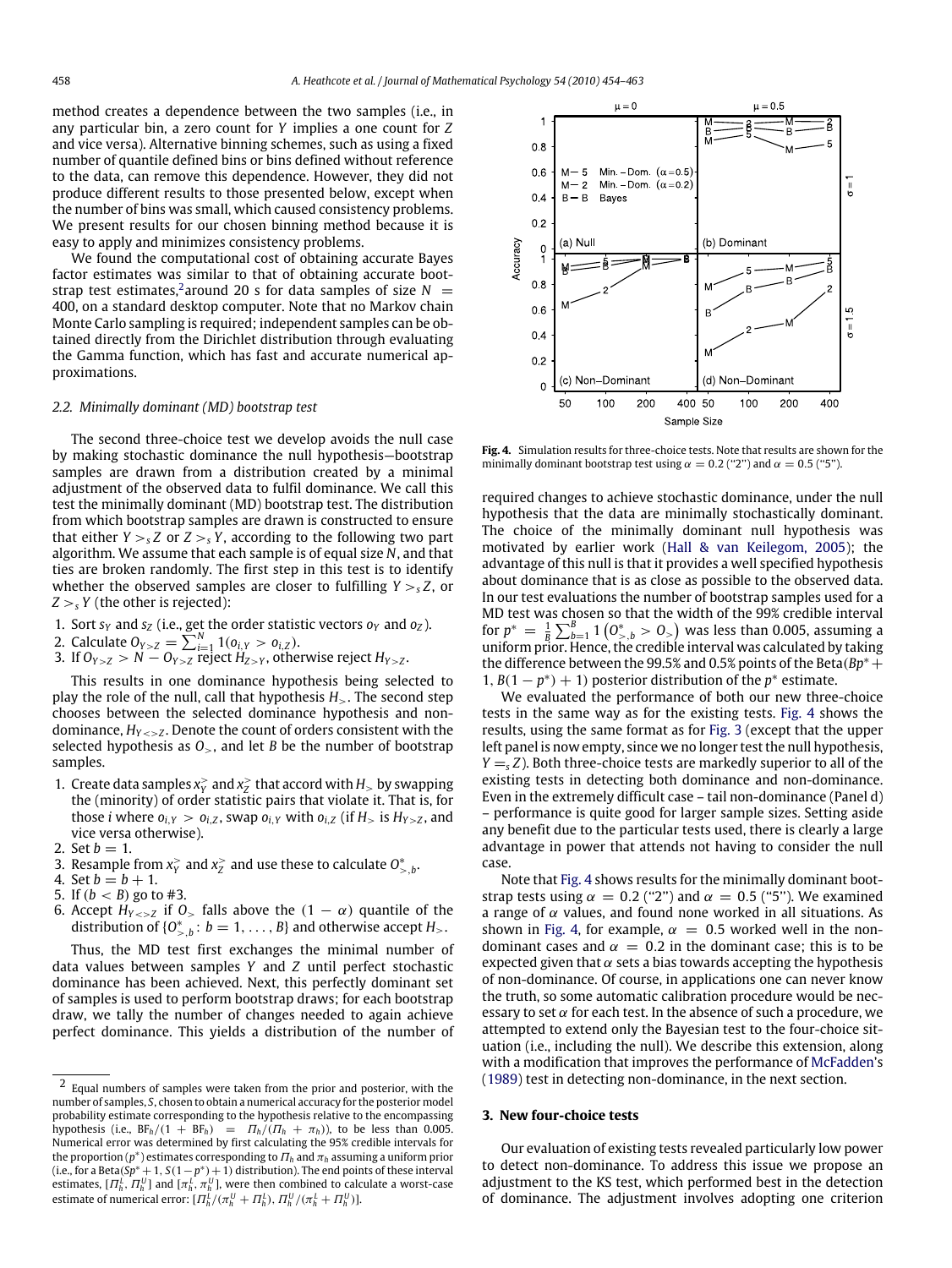method creates a dependence between the two samples (i.e., in any particular bin, a zero count for *Y* implies a one count for *Z* and vice versa). Alternative binning schemes, such as using a fixed number of quantile defined bins or bins defined without reference to the data, can remove this dependence. However, they did not produce different results to those presented below, except when the number of bins was small, which caused consistency problems. We present results for our chosen binning method because it is easy to apply and minimizes consistency problems.

We found the computational cost of obtaining accurate Bayes factor estimates was similar to that of obtaining accurate boot-strap test estimates,<sup>[2](#page-4-0)</sup> around 20 s for data samples of size  $N =$ 400, on a standard desktop computer. Note that no Markov chain Monte Carlo sampling is required; independent samples can be obtained directly from the Dirichlet distribution through evaluating the Gamma function, which has fast and accurate numerical approximations.

#### *2.2. Minimally dominant (MD) bootstrap test*

The second three-choice test we develop avoids the null case by making stochastic dominance the null hypothesis—bootstrap samples are drawn from a distribution created by a minimal adjustment of the observed data to fulfil dominance. We call this test the minimally dominant (MD) bootstrap test. The distribution from which bootstrap samples are drawn is constructed to ensure that either  $Y >_{s} Z$  or  $Z >_{s} Y$ , according to the following two part algorithm. We assume that each sample is of equal size *N*, and that ties are broken randomly. The first step in this test is to identify whether the observed samples are closer to fulfilling  $Y > S Z$ , or  $Z >_{s} Y$  (the other is rejected):

- 1. Sort  $s_Y$  and  $s_Z$  (i.e., get the order statistic vectors  $o_Y$  and  $o_Z$ ).
- 2. Calculate  $O_{Y>Z} = \sum_{i=1}^{N} 1(o_{i,Y} > o_{i,Z}).$
- 3. If  $O_{Y>Z} > N O_{Y>Z}$  reject  $H_{Z>Y}$ , otherwise reject  $H_{Y>Z}$ .

This results in one dominance hypothesis being selected to play the role of the null, call that hypothesis *H*>. The second step chooses between the selected dominance hypothesis and nondominance,  $H_{Y\leq z}$ . Denote the count of orders consistent with the selected hypothesis as *O*>, and let *B* be the number of bootstrap samples.

- 1. Create data samples  $x_Y^>$  and  $x_Z^>$  that accord with  $H_>$  by swapping the (minority) of order statistic pairs that violate it. That is, for those *i* where  $o_{i,Y} > o_{i,Z}$ , swap  $o_{i,Y}$  with  $o_{i,Z}$  (if  $H_{>}$  is  $H_{Y>Z}$ , and vice versa otherwise).
- 2. Set  $b = 1$ .
- 3. Resample from  $x^2$  and  $x^2$  and use these to calculate  $0^*_{>,b}$ .
- 4. Set  $b = b + 1$ .
- 5. If  $(b < B)$  go to #3.
- 6. Accept  $H_{Y\leq Z}$  if  $0$ , falls above the  $(1 \alpha)$  quantile of the distribution of  ${O_{>,b}^* : b = 1, ..., B}$  and otherwise accept *H*<sub>></sub>.

Thus, the MD test first exchanges the minimal number of data values between samples *Y* and *Z* until perfect stochastic dominance has been achieved. Next, this perfectly dominant set of samples is used to perform bootstrap draws; for each bootstrap draw, we tally the number of changes needed to again achieve perfect dominance. This yields a distribution of the number of

<span id="page-4-1"></span>

**Fig. 4.** Simulation results for three-choice tests. Note that results are shown for the minimally dominant bootstrap test using  $\alpha = 0.2$  ("2") and  $\alpha = 0.5$  ("5").

required changes to achieve stochastic dominance, under the null hypothesis that the data are minimally stochastically dominant. The choice of the minimally dominant null hypothesis was motivated by earlier work [\(Hall](#page-9-25) [&](#page-9-25) [van](#page-9-25) [Keilegom,](#page-9-25) [2005\)](#page-9-25); the advantage of this null is that it provides a well specified hypothesis about dominance that is as close as possible to the observed data. In our test evaluations the number of bootstrap samples used for a MD test was chosen so that the width of the 99% credible interval for  $p^* = \frac{1}{B} \sum_{b=1}^B 1 \left( 0^*_{>,b} > 0_{>}\right)$  was less than 0.005, assuming a uniform prior. Hence, the credible interval was calculated by taking the difference between the 99.5% and 0.5% points of the Beta( $Bp^*$  + 1,  $B(1 - p^*) + 1$ ) posterior distribution of the  $p^*$  estimate.

We evaluated the performance of both our new three-choice tests in the same way as for the existing tests. [Fig. 4](#page-4-1) shows the results, using the same format as for [Fig. 3](#page-3-0) (except that the upper left panel is now empty, since we no longer test the null hypothesis,  $Y = S Z$ ). Both three-choice tests are markedly superior to all of the existing tests in detecting both dominance and non-dominance. Even in the extremely difficult case – tail non-dominance (Panel d) – performance is quite good for larger sample sizes. Setting aside any benefit due to the particular tests used, there is clearly a large advantage in power that attends not having to consider the null case.

Note that [Fig. 4](#page-4-1) shows results for the minimally dominant bootstrap tests using  $\alpha = 0.2$  ("2") and  $\alpha = 0.5$  ("5"). We examined a range of  $\alpha$  values, and found none worked in all situations. As shown in [Fig. 4,](#page-4-1) for example,  $\alpha = 0.5$  worked well in the nondominant cases and  $\alpha = 0.2$  in the dominant case; this is to be expected given that  $\alpha$  sets a bias towards accepting the hypothesis of non-dominance. Of course, in applications one can never know the truth, so some automatic calibration procedure would be necessary to set  $\alpha$  for each test. In the absence of such a procedure, we attempted to extend only the Bayesian test to the four-choice situation (i.e., including the null). We describe this extension, along with a modification that improves the performance of [McFadden'](#page-9-26)s [\(1989\)](#page-9-26) test in detecting non-dominance, in the next section.

## **3. New four-choice tests**

Our evaluation of existing tests revealed particularly low power to detect non-dominance. To address this issue we propose an adjustment to the KS test, which performed best in the detection of dominance. The adjustment involves adopting one criterion

<span id="page-4-0"></span><sup>2</sup> Equal numbers of samples were taken from the prior and posterior, with the number of samples, *S*, chosen to obtain a numerical accuracy for the posterior model probability estimate corresponding to the hypothesis relative to the encompassing hypothesis (i.e.,  $BF_h/(1 + BF_h) = \frac{\Pi_h}{(\Pi_h + \pi_h)}$ ), to be less than 0.005. Numerical error was determined by first calculating the 95% credible intervals for the proportion ( $p^*$ ) estimates corresponding to  $\Pi_h$  and  $\pi_h$  assuming a uniform prior (i.e., for a Beta( $\overline{Sp}^* + 1$ ,  $S(1-p^*) + 1$ ) distribution). The end points of these interval estimates,  $[\varPi_h^L,\varPi_h^U]$  and  $[\pi_h^L,\pi_h^U]$ , were then combined to calculate a worst-case estimate of numerical error:  $[\Pi_h^L/(\pi_h^U + \Pi_h^L), \Pi_h^U/(\pi_h^L + \Pi_h^U)].$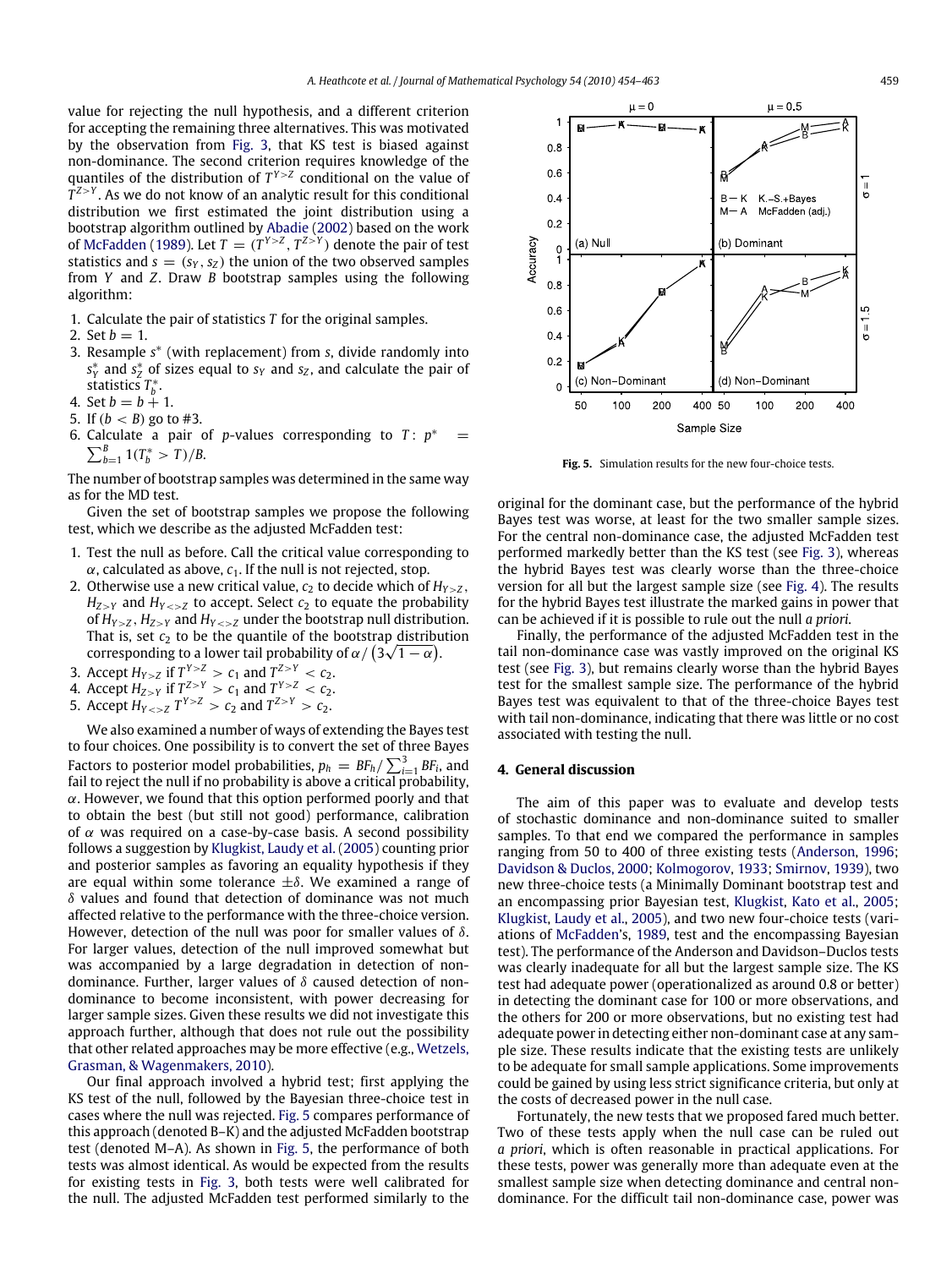value for rejecting the null hypothesis, and a different criterion for accepting the remaining three alternatives. This was motivated by the observation from [Fig. 3,](#page-3-0) that KS test is biased against non-dominance. The second criterion requires knowledge of the quantiles of the distribution of  $T^{Y>Z}$  conditional on the value of  $T^{Z>Y}$ . As we do not know of an analytic result for this conditional distribution we first estimated the joint distribution using a bootstrap algorithm outlined by [Abadie](#page-9-27) [\(2002\)](#page-9-27) based on the work of [McFadden](#page-9-26) [\(1989\)](#page-9-26). Let  $T = (T^{Y>Z}, T^{Z>Y})$  denote the pair of test statistics and  $s = (s_Y, s_Z)$  the union of the two observed samples from *Y* and *Z*. Draw *B* bootstrap samples using the following algorithm:

- 1. Calculate the pair of statistics *T* for the original samples.
- 2. Set  $h = 1$ .
- 3. Resample *s* ∗ (with replacement) from *s*, divide randomly into  $s_Y^*$  and  $s_Z^*$  of sizes equal to  $s_Y$  and  $s_Z$ , and calculate the pair of statistics *T* ∗ *b* .
- 4. Set  $b = b + 1$ .
- 5. If  $(b < B)$  go to #3.
- 6. Calculate a pair of *p*-values corresponding to  $T: p^* =$  $\sum_{b=1}^{B} 1(T_b^* > T)/B$ .

The number of bootstrap samples was determined in the same way as for the MD test.

Given the set of bootstrap samples we propose the following test, which we describe as the adjusted McFadden test:

- 1. Test the null as before. Call the critical value corresponding to  $\alpha$ , calculated as above,  $c_1$ . If the null is not rejected, stop.
- 2. Otherwise use a new critical value,  $c_2$  to decide which of  $H_{Y>7}$ ,  $H_{Z>Y}$  and  $H_{Y to accept. Select  $c_2$  to equate the probability$ of  $H_{Y>Z}$ ,  $H_{Z>Y}$  and  $H_{Y under the bootstrap null distribution.$ That is, set  $c_2$  to be the quantile of the bootstrap distribution corresponding to a lower tail probability of  $\alpha/\left(3\sqrt{1-\alpha}\right)$ .
- 3. Accept  $H_{Y>Z}$  if  $T_{Z}^{Y>Z} > c_1$  and  $T_{ZZ}^{Z>Y} < c_2$ .
- 4. Accept  $H_{Z>Y}$  if  $T^{Z>Y} > c_1$  and  $T^{Y>Z} < c_2$ .
- 5. Accept  $H_{Y \le z} T^{Y>Z} > c_2$  and  $T^{Z>Y} > c_2$ .

We also examined a number of ways of extending the Bayes test to four choices. One possibility is to convert the set of three Bayes Factors to posterior model probabilities,  $p_h = BF_h / \sum_{i=1}^3 BF_i$ , and fail to reject the null if no probability is above a critical probability,  $\alpha$ . However, we found that this option performed poorly and that to obtain the best (but still not good) performance, calibration of  $\alpha$  was required on a case-by-case basis. A second possibility follows a suggestion by [Klugkist,](#page-9-24) [Laudy](#page-9-24) [et al.](#page-9-24) [\(2005\)](#page-9-24) counting prior and posterior samples as favoring an equality hypothesis if they are equal within some tolerance  $\pm \delta$ . We examined a range of  $\delta$  values and found that detection of dominance was not much affected relative to the performance with the three-choice version. However, detection of the null was poor for smaller values of  $\delta$ . For larger values, detection of the null improved somewhat but was accompanied by a large degradation in detection of nondominance. Further, larger values of  $\delta$  caused detection of nondominance to become inconsistent, with power decreasing for larger sample sizes. Given these results we did not investigate this approach further, although that does not rule out the possibility that other related approaches may be more effective (e.g., [Wetzels,](#page-9-28) [Grasman,](#page-9-28) [&](#page-9-28) [Wagenmakers,](#page-9-28) [2010\)](#page-9-28).

Our final approach involved a hybrid test; first applying the KS test of the null, followed by the Bayesian three-choice test in cases where the null was rejected. [Fig. 5](#page-5-0) compares performance of this approach (denoted B–K) and the adjusted McFadden bootstrap test (denoted M–A). As shown in [Fig. 5,](#page-5-0) the performance of both tests was almost identical. As would be expected from the results for existing tests in [Fig. 3,](#page-3-0) both tests were well calibrated for the null. The adjusted McFadden test performed similarly to the

<span id="page-5-0"></span>

**Fig. 5.** Simulation results for the new four-choice tests.

original for the dominant case, but the performance of the hybrid Bayes test was worse, at least for the two smaller sample sizes. For the central non-dominance case, the adjusted McFadden test performed markedly better than the KS test (see [Fig. 3\)](#page-3-0), whereas the hybrid Bayes test was clearly worse than the three-choice version for all but the largest sample size (see [Fig. 4\)](#page-4-1). The results for the hybrid Bayes test illustrate the marked gains in power that can be achieved if it is possible to rule out the null *a priori*.

Finally, the performance of the adjusted McFadden test in the tail non-dominance case was vastly improved on the original KS test (see [Fig. 3\)](#page-3-0), but remains clearly worse than the hybrid Bayes test for the smallest sample size. The performance of the hybrid Bayes test was equivalent to that of the three-choice Bayes test with tail non-dominance, indicating that there was little or no cost associated with testing the null.

#### **4. General discussion**

The aim of this paper was to evaluate and develop tests of stochastic dominance and non-dominance suited to smaller samples. To that end we compared the performance in samples ranging from 50 to 400 of three existing tests [\(Anderson,](#page-9-4) [1996;](#page-9-4) [Davidson](#page-9-5) [&](#page-9-5) [Duclos,](#page-9-5) [2000;](#page-9-5) [Kolmogorov,](#page-9-13) [1933;](#page-9-13) [Smirnov,](#page-9-14) [1939\)](#page-9-14), two new three-choice tests (a Minimally Dominant bootstrap test and an encompassing prior Bayesian test, [Klugkist,](#page-9-17) [Kato](#page-9-17) [et al.,](#page-9-17) [2005;](#page-9-17) [Klugkist,](#page-9-24) [Laudy](#page-9-24) [et al.,](#page-9-24) [2005\)](#page-9-24), and two new four-choice tests (variations of [McFadden'](#page-9-26)s, [1989,](#page-9-26) test and the encompassing Bayesian test). The performance of the Anderson and Davidson–Duclos tests was clearly inadequate for all but the largest sample size. The KS test had adequate power (operationalized as around 0.8 or better) in detecting the dominant case for 100 or more observations, and the others for 200 or more observations, but no existing test had adequate power in detecting either non-dominant case at any sample size. These results indicate that the existing tests are unlikely to be adequate for small sample applications. Some improvements could be gained by using less strict significance criteria, but only at the costs of decreased power in the null case.

Fortunately, the new tests that we proposed fared much better. Two of these tests apply when the null case can be ruled out *a priori*, which is often reasonable in practical applications. For these tests, power was generally more than adequate even at the smallest sample size when detecting dominance and central nondominance. For the difficult tail non-dominance case, power was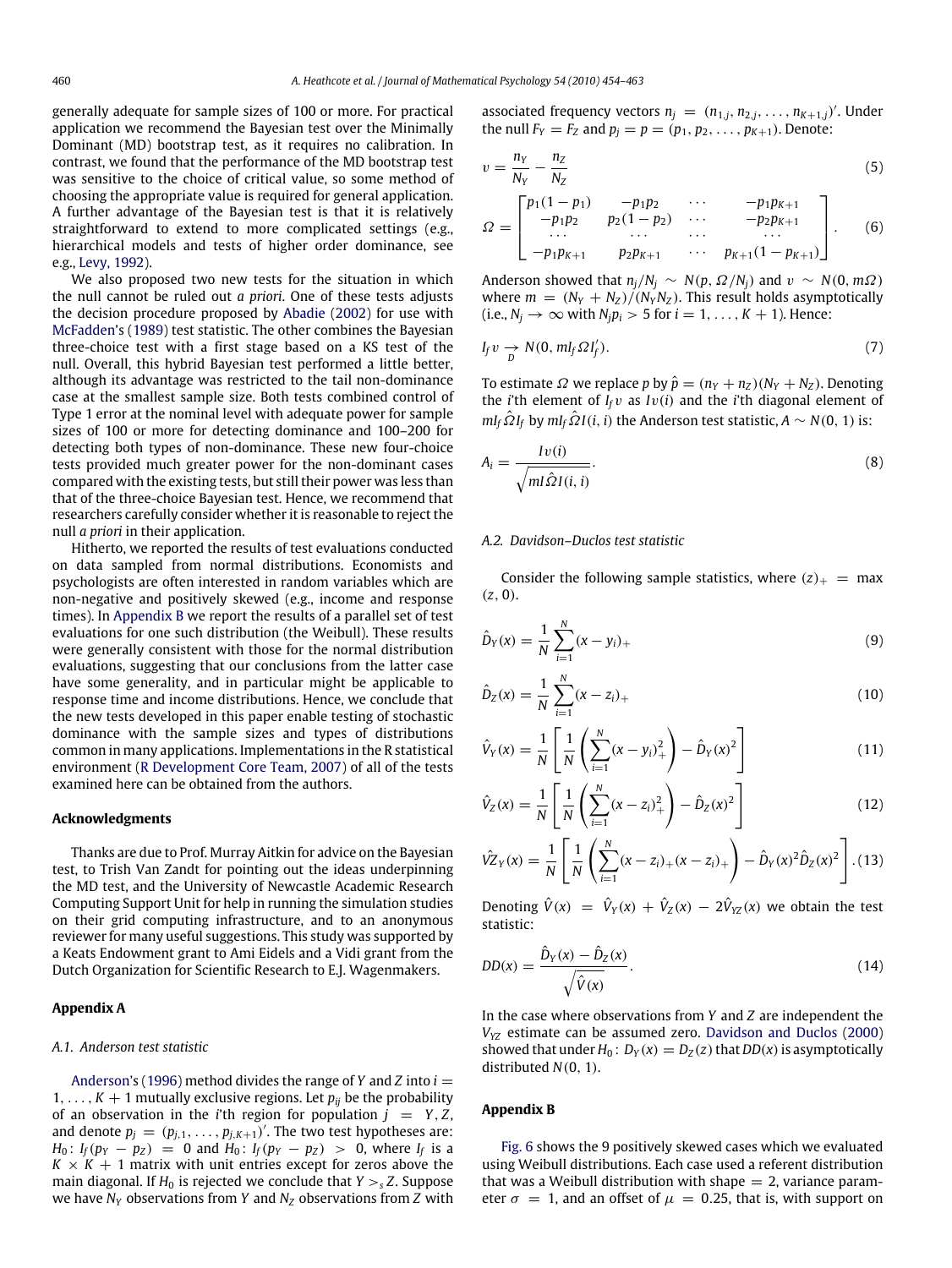generally adequate for sample sizes of 100 or more. For practical application we recommend the Bayesian test over the Minimally Dominant (MD) bootstrap test, as it requires no calibration. In contrast, we found that the performance of the MD bootstrap test was sensitive to the choice of critical value, so some method of choosing the appropriate value is required for general application. A further advantage of the Bayesian test is that it is relatively straightforward to extend to more complicated settings (e.g., hierarchical models and tests of higher order dominance, see e.g., [Levy,](#page-9-0) [1992\)](#page-9-0).

We also proposed two new tests for the situation in which the null cannot be ruled out *a priori*. One of these tests adjusts the decision procedure proposed by [Abadie](#page-9-27) [\(2002\)](#page-9-27) for use with [McFadden'](#page-9-26)s [\(1989\)](#page-9-26) test statistic. The other combines the Bayesian three-choice test with a first stage based on a KS test of the null. Overall, this hybrid Bayesian test performed a little better, although its advantage was restricted to the tail non-dominance case at the smallest sample size. Both tests combined control of Type 1 error at the nominal level with adequate power for sample sizes of 100 or more for detecting dominance and 100–200 for detecting both types of non-dominance. These new four-choice tests provided much greater power for the non-dominant cases compared with the existing tests, but still their power was less than that of the three-choice Bayesian test. Hence, we recommend that researchers carefully consider whether it is reasonable to reject the null *a priori* in their application.

Hitherto, we reported the results of test evaluations conducted on data sampled from normal distributions. Economists and psychologists are often interested in random variables which are non-negative and positively skewed (e.g., income and response times). In [Appendix B](#page-6-0) we report the results of a parallel set of test evaluations for one such distribution (the Weibull). These results were generally consistent with those for the normal distribution evaluations, suggesting that our conclusions from the latter case have some generality, and in particular might be applicable to response time and income distributions. Hence, we conclude that the new tests developed in this paper enable testing of stochastic dominance with the sample sizes and types of distributions common in many applications. Implementations in the R statistical environment [\(R](#page-9-29) [Development](#page-9-29) [Core](#page-9-29) [Team,](#page-9-29) [2007\)](#page-9-29) of all of the tests examined here can be obtained from the authors.

#### **Acknowledgments**

Thanks are due to Prof. Murray Aitkin for advice on the Bayesian test, to Trish Van Zandt for pointing out the ideas underpinning the MD test, and the University of Newcastle Academic Research Computing Support Unit for help in running the simulation studies on their grid computing infrastructure, and to an anonymous reviewer for many useful suggestions. This study was supported by a Keats Endowment grant to Ami Eidels and a Vidi grant from the Dutch Organization for Scientific Research to E.J. Wagenmakers.

#### <span id="page-6-1"></span>**Appendix A**

#### *A.1. Anderson test statistic*

[Anderson'](#page-9-4)s [\(1996\)](#page-9-4) method divides the range of *Y* and *Z* into *i* = 1, ...,  $K + 1$  mutually exclusive regions. Let  $p_{ij}$  be the probability of an observation in the *i*'th region for population  $j = Y, Z$ , and denote  $p_j = (p_{j,1}, \ldots, p_{j,K+1})'$ . The two test hypotheses are: *H*<sub>0</sub>: *I<sub>f</sub>*( $p_Y - p_Z$ ) = 0 and  $H_0$ : *I<sub>f</sub>*( $p_Y - p_Z$ ) > 0, where *I<sub>f</sub>* is a  $K \times K + 1$  matrix with unit entries except for zeros above the main diagonal. If  $H_0$  is rejected we conclude that  $Y >_{s} Z$ . Suppose we have *N<sup>Y</sup>* observations from *Y* and *N<sup>Z</sup>* observations from *Z* with associated frequency vectors  $n_j = (n_{1,j}, n_{2,j}, \ldots, n_{K+1,j})'$ . Under the null  $F_Y = F_Z$  and  $p_i = p = (p_1, p_2, \ldots, p_{K+1})$ . Denote:

$$
v = \frac{n_Y}{N_Y} - \frac{n_Z}{N_Z} \tag{5}
$$

$$
\Omega = \begin{bmatrix} p_1(1-p_1) & -p_1p_2 & \cdots & -p_1p_{k+1} \\ -p_1p_2 & p_2(1-p_2) & \cdots & -p_2p_{k+1} \\ \cdots & \cdots & \cdots & \cdots \\ -p_1p_{k+1} & p_2p_{k+1} & \cdots & p_{k+1}(1-p_{k+1}) \end{bmatrix} .
$$
 (6)

Anderson showed that  $n_i/N_i \sim N(p, \Omega/N_i)$  and  $v \sim N(0, m\Omega)$ where  $m = (N_Y + N_Z)/(N_Y/N_Z)$ . This result holds asymptotically  $(i.e., N_j \rightarrow \infty \text{ with } N_j p_i > 5 \text{ for } i = 1, \ldots, K + 1).$  Hence:

$$
I_f v \underset{D}{\rightarrow} N(0, m I_f \Omega I'_f). \tag{7}
$$

To estimate  $\Omega$  we replace *p* by  $\hat{p} = (n_Y + n_Z)(N_Y + N_Z)$ . Denoting the *i*'th element of  $I_f v$  as  $Iv(i)$  and the *i*'th diagonal element of  $mI_f \hat{\Omega} I_f$  by  $mI_f \hat{\Omega} I(i, i)$  the Anderson test statistic,  $A \sim N(0, 1)$  is:

$$
A_i = \frac{Iv(i)}{\sqrt{ml\hat{\Omega}I(i,i)}}.
$$
\n(8)

## *A.2. Davidson–Duclos test statistic*

Consider the following sample statistics, where  $(z)_+$  = max (*z*, 0).

$$
\hat{D}_Y(x) = \frac{1}{N} \sum_{i=1}^N (x - y_i)_+ \tag{9}
$$

$$
\hat{D}_Z(x) = \frac{1}{N} \sum_{i=1}^{N} (x - z_i)_+ \tag{10}
$$

$$
\hat{V}_Y(x) = \frac{1}{N} \left[ \frac{1}{N} \left( \sum_{i=1}^N (x - y_i)_+^2 \right) - \hat{D}_Y(x)^2 \right]
$$
(11)

$$
\hat{V}_Z(x) = \frac{1}{N} \left[ \frac{1}{N} \left( \sum_{i=1}^N (x - z_i)^2 + \right) - \hat{D}_Z(x)^2 \right] \tag{12}
$$

$$
\hat{VZ}_Y(x) = \frac{1}{N} \left[ \frac{1}{N} \left( \sum_{i=1}^N (x - z_i)_+(x - z_i)_+ \right) - \hat{D}_Y(x)^2 \hat{D}_Z(x)^2 \right].
$$
 (13)

Denoting  $\hat{V}(x) = \hat{V}_Y(x) + \hat{V}_Z(x) - 2\hat{V}_{YZ}(x)$  we obtain the test statistic:

$$
DD(x) = \frac{\hat{D}_Y(x) - \hat{D}_Z(x)}{\sqrt{\hat{V}(x)}}.
$$
\n(14)

In the case where observations from *Y* and *Z* are independent the *VYZ* estimate can be assumed zero. [Davidson](#page-9-5) [and](#page-9-5) [Duclos](#page-9-5) [\(2000\)](#page-9-5) showed that under  $H_0$ :  $D_Y(x) = D_Z(z)$  that  $DD(x)$  is asymptotically distributed *N*(0, 1).

#### <span id="page-6-0"></span>**Appendix B**

[Fig. 6](#page-7-0) shows the 9 positively skewed cases which we evaluated using Weibull distributions. Each case used a referent distribution that was a Weibull distribution with shape  $= 2$ , variance parameter  $\sigma = 1$ , and an offset of  $\mu = 0.25$ , that is, with support on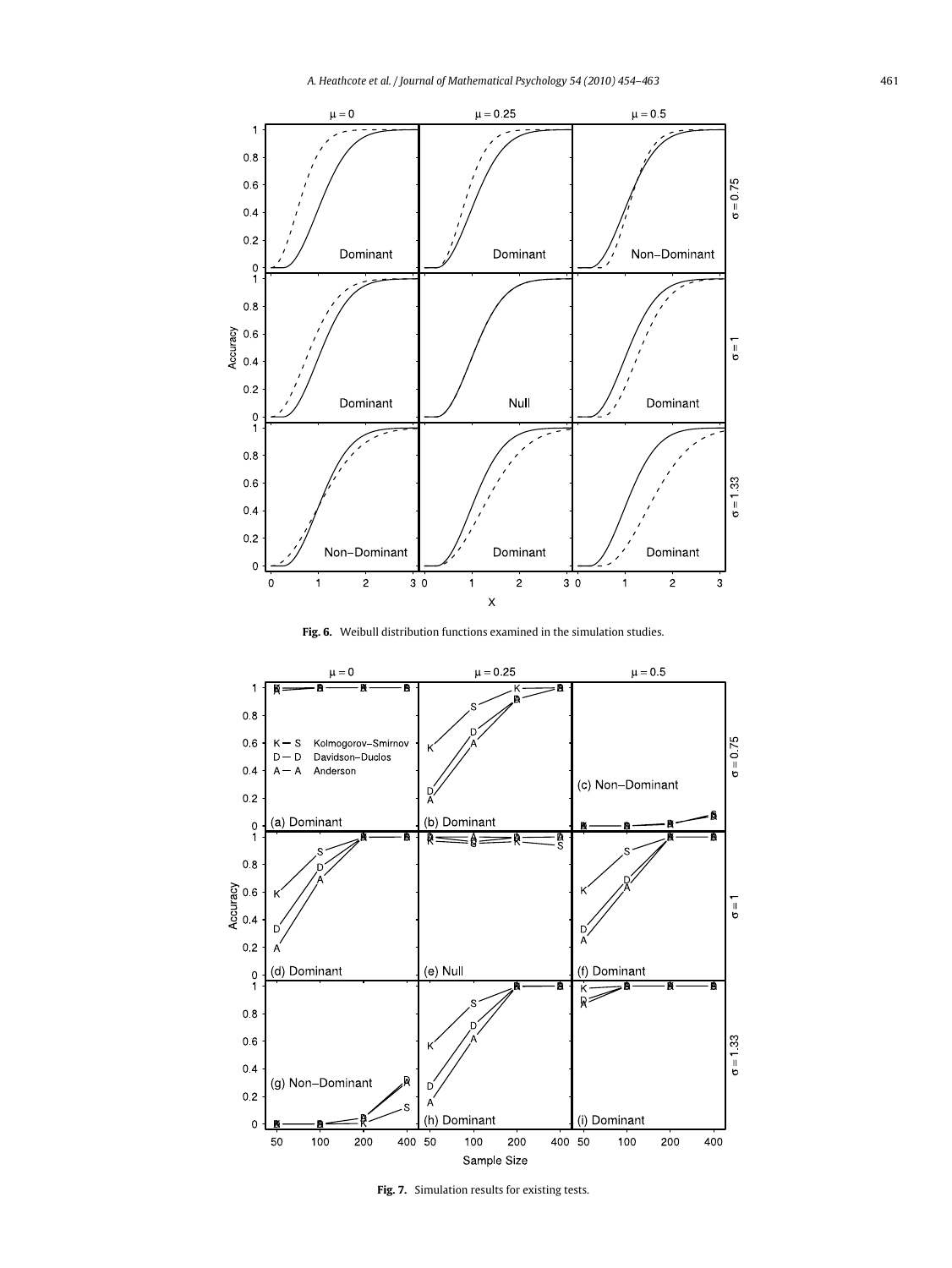<span id="page-7-0"></span>

**Fig. 6.** Weibull distribution functions examined in the simulation studies.

<span id="page-7-1"></span>

**Fig. 7.** Simulation results for existing tests.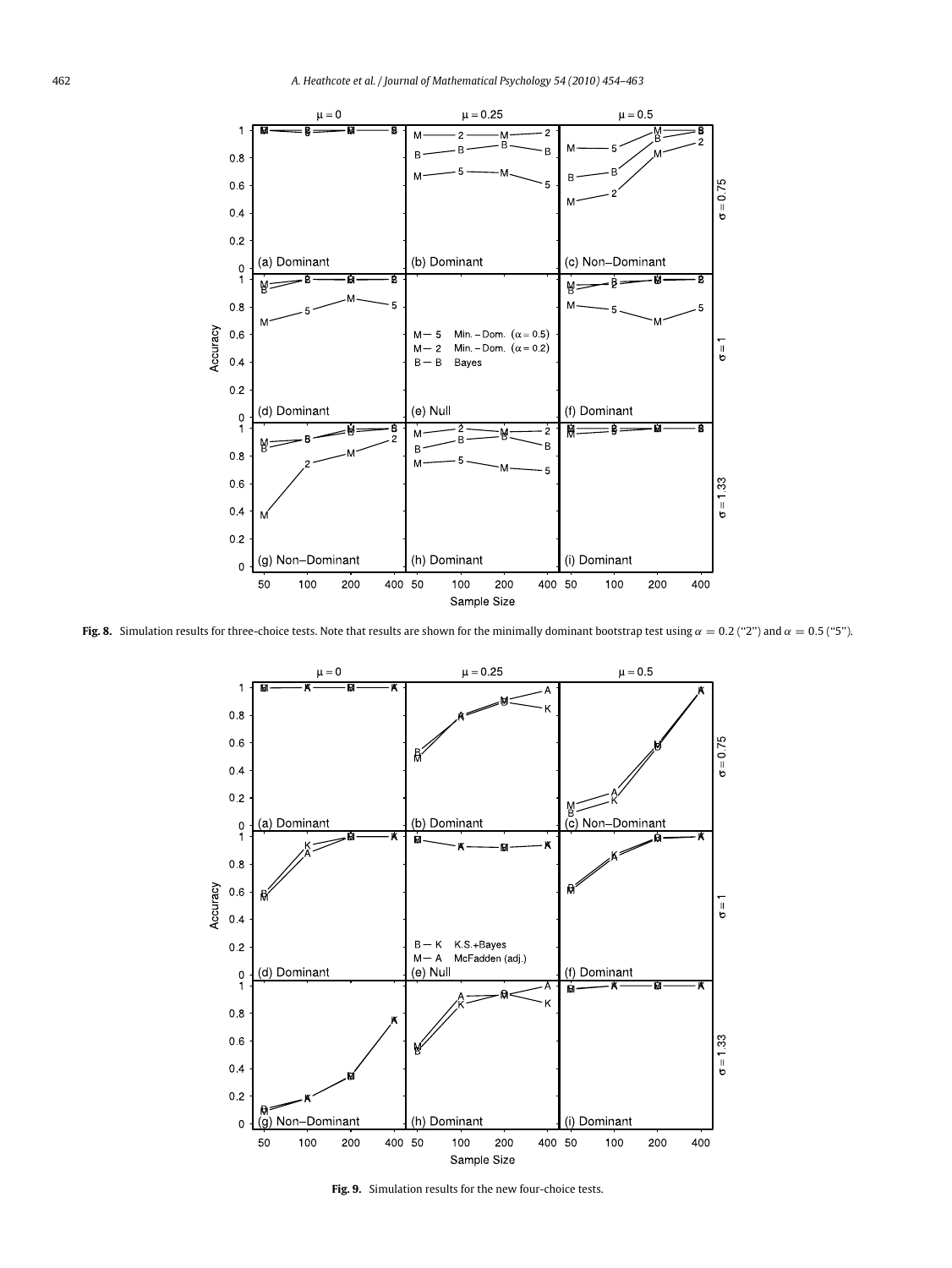<span id="page-8-0"></span>

<span id="page-8-1"></span>**Fig. 8.** Simulation results for three-choice tests. Note that results are shown for the minimally dominant bootstrap test using  $\alpha = 0.2$  ("2") and  $\alpha = 0.5$  ("5").



**Fig. 9.** Simulation results for the new four-choice tests.